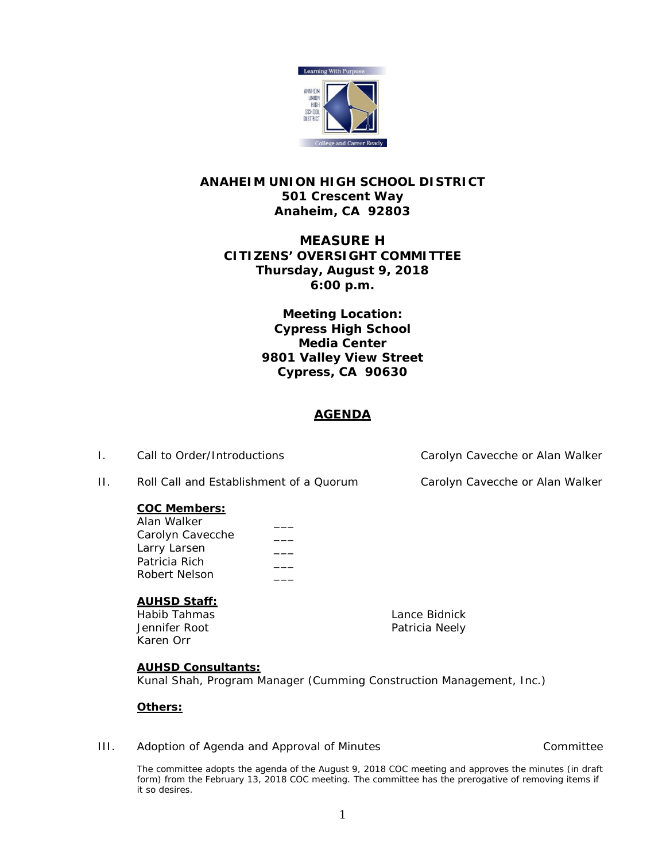

# **ANAHEIM UNION HIGH SCHOOL DISTRICT 501 Crescent Way Anaheim, CA 92803**

# **MEASURE H CITIZENS' OVERSIGHT COMMITTEE Thursday, August 9, 2018 6:00 p.m.**

**Meeting Location: Cypress High School Media Center 9801 Valley View Street Cypress, CA 90630**

# **AGENDA**

I. Call to Order/Introductions Carolyn Cavecche or Alan Walker

II. Roll Call and Establishment of a Quorum Carolyn Cavecche or Alan Walker

## **COC Members:**

| Alan Walker      |  |
|------------------|--|
| Carolyn Cavecche |  |
| Larry Larsen     |  |
| Patricia Rich    |  |
| Robert Nelson    |  |
|                  |  |

## **AUHSD Staff:**

Habib Tahmas Lance Bidnick Karen Orr

Patricia Neely

## **AUHSD Consultants:**

Kunal Shah, Program Manager (Cumming Construction Management, Inc.)

## **Others:**

## III. Adoption of Agenda and Approval of Minutes and Committee committee

The committee adopts the agenda of the August 9, 2018 COC meeting and approves the minutes (in draft form) from the February 13, 2018 COC meeting. The committee has the prerogative of removing items if it so desires.